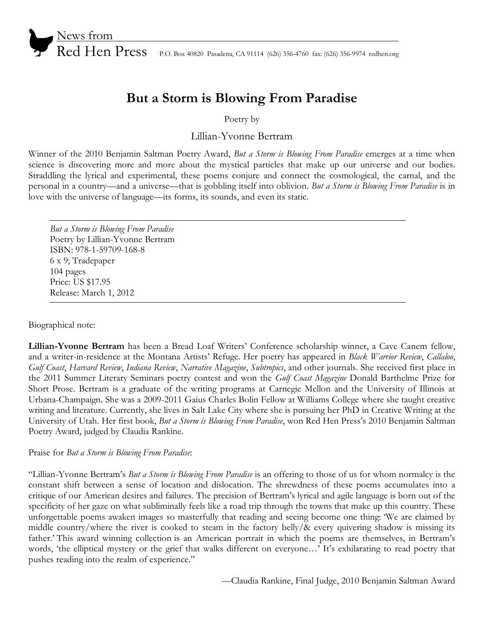

Red Hen Press P.O. Box 40820 Pasadena, CA 91114 (626) 356-4760 fax: (626) 356-9974 redhen.org

# **But a Storm is Blowing From Paradise**

Poetry by

Lillian-Yvonne Bertram

Winner of the 2010 Benjamin Saltman Poetry Award, *But a Storm is Blowing From Paradise* emerges at a time when science is discovering more and more about the mystical particles that make up our universe and our bodies. Straddling the lyrical and experimental, these poems conjure and connect the cosmological, the carnal, and the personal in a country—and a universe—that is gobbling itself into oblivion. *But a Storm is Blowing From Paradise* is in love with the universe of language—its forms, its sounds, and even its static.

*But a Storm is Blowing From Paradise* Poetry by Lillian-Yvonne Bertram ISBN: 978-1-59709-168-8 6 x 9; Tradepaper 104 pages Price: US \$17.95 Release: March 1, 2012

Biographical note:

**Lillian-Yvonne Bertram** has been a Bread Loaf Writers' Conference scholarship winner, a Cave Canem fellow, and a writer-in-residence at the Montana Artists' Refuge. Her poetry has appeared in *Black Warrior Review*, *Callaloo*, *Gulf Coast*, *Harvard Review*, *Indiana Review*, *Narrative Magazine*, *Subtropics*, and other journals. She received first place in the 2011 Summer Literary Seminars poetry contest and won the *Gulf Coast Magazine* Donald Barthelme Prize for Short Prose. Bertram is a graduate of the writing programs at Carnegie Mellon and the University of Illinois at Urbana-Champaign. She was a 2009-2011 Gaius Charles Bolin Fellow at Williams College where she taught creative writing and literature. Currently, she lives in Salt Lake City where she is pursuing her PhD in Creative Writing at the University of Utah. Her first book, *But a Storm is Blowing From Paradise*, won Red Hen Press's 2010 Benjamin Saltman Poetry Award, judged by Claudia Rankine.

Praise for *But a Storm is Blowing From Paradise*:

"Lillian-Yvonne Bertram's *But a Storm is Blowing From Paradise* is an offering to those of us for whom normalcy is the constant shift between a sense of location and dislocation. The shrewdness of these poems accumulates into a critique of our American desires and failures. The precision of Bertram's lyrical and agile language is born out of the specificity of her gaze on what subliminally feels like a road trip through the towns that make up this country. These unforgettable poems awaken images so masterfully that reading and seeing become one thing: 'We are claimed by middle country/where the river is cooked to steam in the factory belly/& every quivering shadow is missing its father.' This award winning collection is an American portrait in which the poems are themselves, in Bertram's words, 'the elliptical mystery or the grief that walks different on everyone…' It's exhilarating to read poetry that pushes reading into the realm of experience."

—Claudia Rankine, Final Judge, 2010 Benjamin Saltman Award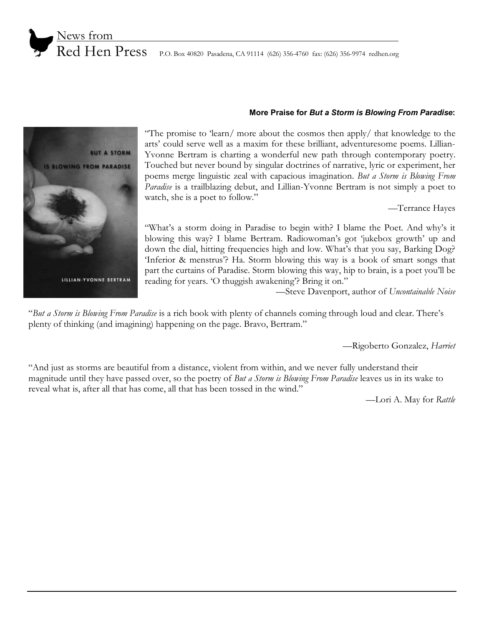



Red Hen Press P.O. Box 40820 Pasadena, CA 91114 (626) 356-4760 fax: (626) 356-9974 redhen.org

## **More Praise for** *But a Storm is Blowing From Paradise***:**

"The promise to 'learn/ more about the cosmos then apply/ that knowledge to the arts' could serve well as a maxim for these brilliant, adventuresome poems. Lillian-Yvonne Bertram is charting a wonderful new path through contemporary poetry. Touched but never bound by singular doctrines of narrative, lyric or experiment, her poems merge linguistic zeal with capacious imagination. *But a Storm is Blowing From Paradise* is a trailblazing debut, and Lillian-Yvonne Bertram is not simply a poet to watch, she is a poet to follow."

—Terrance Hayes

"What's a storm doing in Paradise to begin with? I blame the Poet. And why's it blowing this way? I blame Bertram. Radiowoman's got 'jukebox growth' up and down the dial, hitting frequencies high and low. What's that you say, Barking Dog? 'Inferior & menstrus'? Ha. Storm blowing this way is a book of smart songs that part the curtains of Paradise. Storm blowing this way, hip to brain, is a poet you'll be reading for years. 'O thuggish awakening'? Bring it on."

—Steve Davenport, author of *Uncontainable Noise*

"*But a Storm is Blowing From Paradise* is a rich book with plenty of channels coming through loud and clear. There's plenty of thinking (and imagining) happening on the page. Bravo, Bertram."

—Rigoberto Gonzalez, *Harriet*

"And just as storms are beautiful from a distance, violent from within, and we never fully understand their magnitude until they have passed over, so the poetry of *But a Storm is Blowing From Paradise* leaves us in its wake to reveal what is, after all that has come, all that has been tossed in the wind."

—Lori A. May for *Rattle*